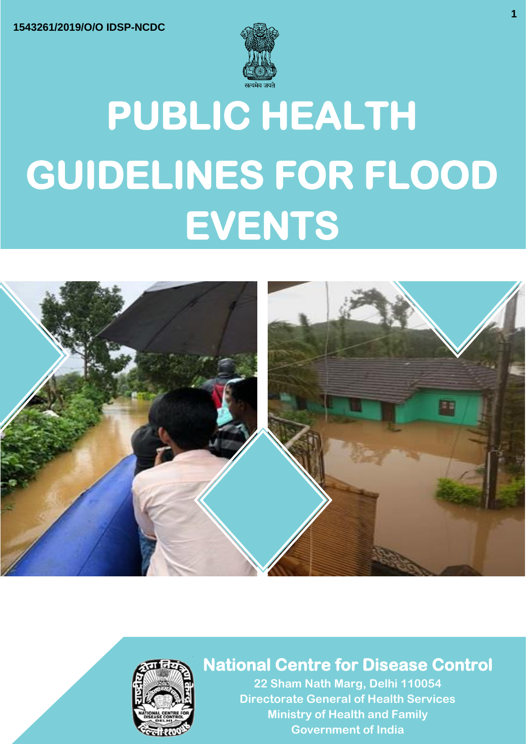

# **Ministry of Health and Family Government of India National Centre for Disease Control 22 Sham Nath Marg, Delhi 110054 GUIDELINES FOR FLOOD Directorate General of Health Services Ministry of Health and Family Government of India EVENTS PUBLIC HEALTH**





# **National Centre for Disease Control**

**22 Sham Nath Marg, Delhi 110054 Directorate General of Health Services Ministry of Health and Family Government of India**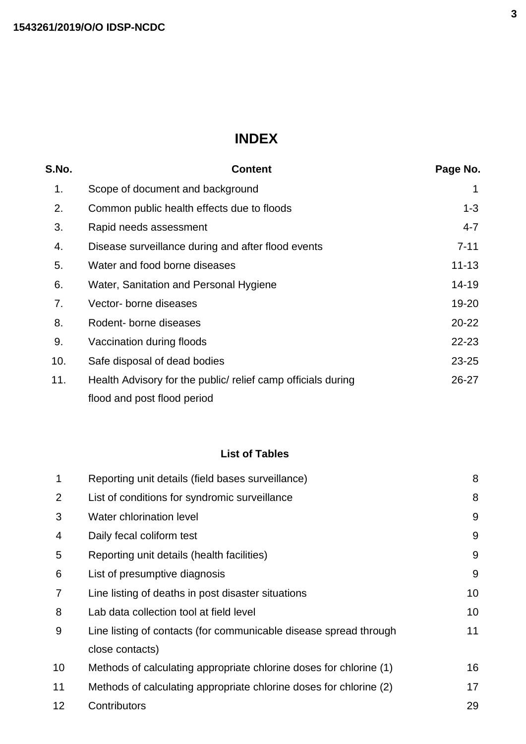# **INDEX**

| S.No. | <b>Content</b>                                               | Page No.  |
|-------|--------------------------------------------------------------|-----------|
| 1.    | Scope of document and background                             |           |
| 2.    | Common public health effects due to floods                   | $1 - 3$   |
| 3.    | Rapid needs assessment                                       | $4 - 7$   |
| 4.    | Disease surveillance during and after flood events           | $7 - 11$  |
| 5.    | Water and food borne diseases                                | $11 - 13$ |
| 6.    | Water, Sanitation and Personal Hygiene                       | 14-19     |
| 7.    | Vector- borne diseases                                       | 19-20     |
| 8.    | Rodent-borne diseases                                        | $20 - 22$ |
| 9.    | Vaccination during floods                                    | 22-23     |
| 10.   | Safe disposal of dead bodies                                 | $23 - 25$ |
| 11.   | Health Advisory for the public/ relief camp officials during | 26-27     |
|       | flood and post flood period                                  |           |

### **List of Tables**

| $\mathbf 1$     | Reporting unit details (field bases surveillance)                  | 8  |
|-----------------|--------------------------------------------------------------------|----|
| 2               | List of conditions for syndromic surveillance                      | 8  |
| 3               | <b>Water chlorination level</b>                                    | 9  |
| 4               | Daily fecal coliform test                                          | 9  |
| 5               | Reporting unit details (health facilities)                         | 9  |
| 6               | List of presumptive diagnosis                                      | 9  |
| $\overline{7}$  | Line listing of deaths in post disaster situations                 | 10 |
| 8               | Lab data collection tool at field level                            | 10 |
| 9               | Line listing of contacts (for communicable disease spread through  | 11 |
|                 | close contacts)                                                    |    |
| 10 <sup>°</sup> | Methods of calculating appropriate chlorine doses for chlorine (1) | 16 |
| 11              | Methods of calculating appropriate chlorine doses for chlorine (2) | 17 |
| 12 <sub>2</sub> | Contributors                                                       | 29 |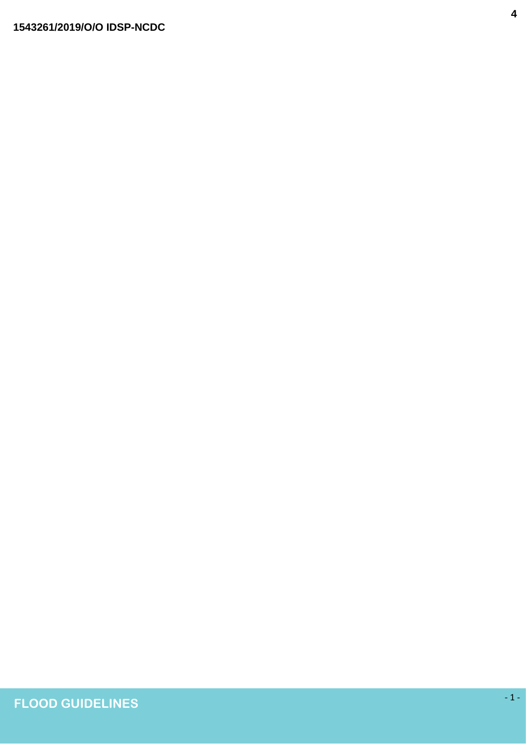**4**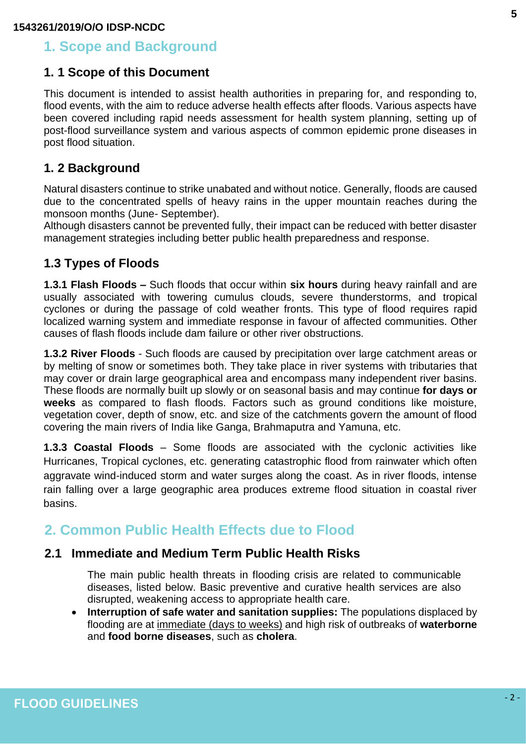# **1. Scope and Background**

### **1. 1 Scope of this Document**

This document is intended to assist health authorities in preparing for, and responding to, flood events, with the aim to reduce adverse health effects after floods. Various aspects have been covered including rapid needs assessment for health system planning, setting up of post-flood surveillance system and various aspects of common epidemic prone diseases in post flood situation.

### **1. 2 Background**

Natural disasters continue to strike unabated and without notice. Generally, floods are caused due to the concentrated spells of heavy rains in the upper mountain reaches during the monsoon months (June- September).

Although disasters cannot be prevented fully, their impact can be reduced with better disaster management strategies including better public health preparedness and response.

### **1.3 Types of Floods**

**1.3.1 Flash Floods –** Such floods that occur within **six hours** during heavy rainfall and are usually associated with towering cumulus clouds, severe thunderstorms, and tropical cyclones or during the passage of cold weather fronts. This type of flood requires rapid localized warning system and immediate response in favour of affected communities. Other causes of flash floods include dam failure or other river obstructions.

**1.3.2 River Floods** - Such floods are caused by precipitation over large catchment areas or by melting of snow or sometimes both. They take place in river systems with tributaries that may cover or drain large geographical area and encompass many independent river basins. These floods are normally built up slowly or on seasonal basis and may continue **for days or weeks** as compared to flash floods. Factors such as ground conditions like moisture, vegetation cover, depth of snow, etc. and size of the catchments govern the amount of flood covering the main rivers of India like Ganga, Brahmaputra and Yamuna, etc.

**1.3.3 Coastal Floods** – Some floods are associated with the cyclonic activities like Hurricanes, Tropical cyclones, etc. generating catastrophic flood from rainwater which often aggravate wind-induced storm and water surges along the coast. As in river floods, intense rain falling over a large geographic area produces extreme flood situation in coastal river basins.

# **2. Common Public Health Effects due to Flood**

### **2.1 Immediate and Medium Term Public Health Risks**

The main public health threats in flooding crisis are related to communicable diseases, listed below. Basic preventive and curative health services are also disrupted, weakening access to appropriate health care.

• **Interruption of safe water and sanitation supplies:** The populations displaced by flooding are at immediate (days to weeks) and high risk of outbreaks of **waterborne**  and **food borne diseases**, such as **cholera**.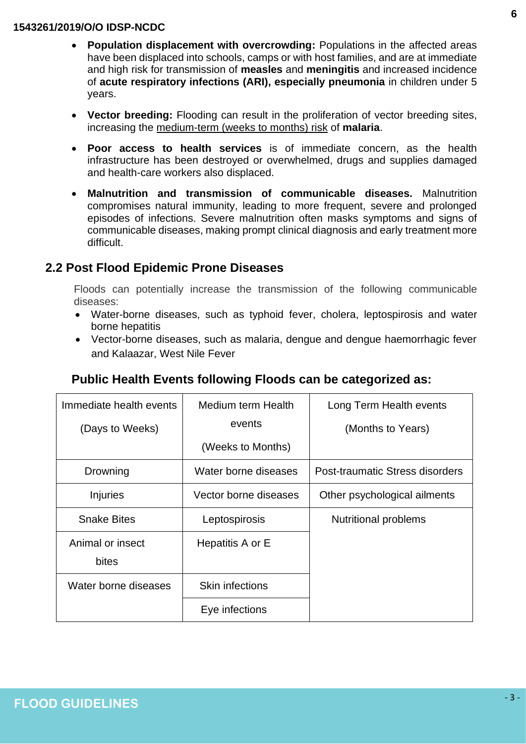- **Population displacement with overcrowding:** Populations in the affected areas have been displaced into schools, camps or with host families, and are at immediate and high risk for transmission of **measles** and **meningitis** and increased incidence of **acute respiratory infections (ARI), especially pneumonia** in children under 5 years.
- **Vector breeding:** Flooding can result in the proliferation of vector breeding sites, increasing the medium-term (weeks to months) risk of **malaria**.
- **Poor access to health services** is of immediate concern, as the health infrastructure has been destroyed or overwhelmed, drugs and supplies damaged and health-care workers also displaced.
- **Malnutrition and transmission of communicable diseases.** Malnutrition compromises natural immunity, leading to more frequent, severe and prolonged episodes of infections. Severe malnutrition often masks symptoms and signs of communicable diseases, making prompt clinical diagnosis and early treatment more difficult.

### **2.2 Post Flood Epidemic Prone Diseases**

Floods can potentially increase the transmission of the following communicable diseases:

- Water-borne diseases, such as typhoid fever, cholera, leptospirosis and water borne hepatitis
- Vector-borne diseases, such as malaria, dengue and dengue haemorrhagic fever and Kalaazar, West Nile Fever

| Immediate health events | Medium term Health     | Long Term Health events         |
|-------------------------|------------------------|---------------------------------|
| (Days to Weeks)         | events                 | (Months to Years)               |
|                         | (Weeks to Months)      |                                 |
| Drowning                | Water borne diseases   | Post-traumatic Stress disorders |
| Injuries                | Vector borne diseases  | Other psychological ailments    |
| <b>Snake Bites</b>      | Leptospirosis          | <b>Nutritional problems</b>     |
| Animal or insect        | Hepatitis A or E       |                                 |
| bites                   |                        |                                 |
| Water borne diseases    | <b>Skin infections</b> |                                 |
|                         | Eye infections         |                                 |

### **Public Health Events following Floods can be categorized as:**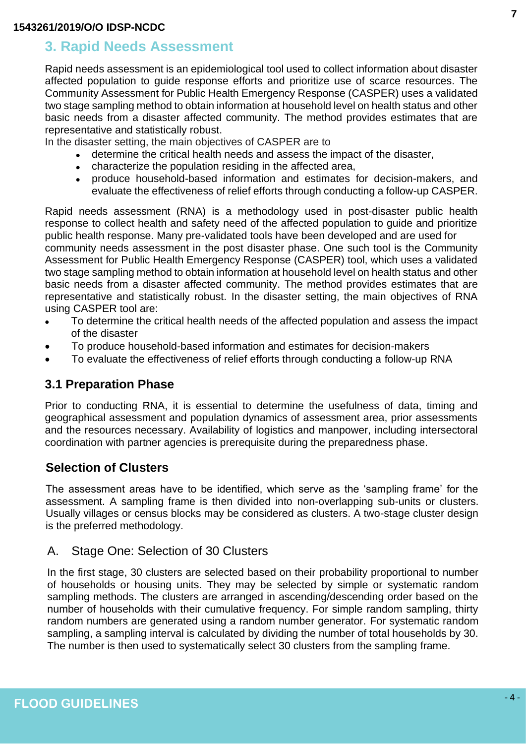# **3. Rapid Needs Assessment**

Rapid needs assessment is an epidemiological tool used to collect information about disaster affected population to guide response efforts and prioritize use of scarce resources. The Community Assessment for Public Health Emergency Response (CASPER) uses a validated two stage sampling method to obtain information at household level on health status and other basic needs from a disaster affected community. The method provides estimates that are representative and statistically robust.

In the disaster setting, the main objectives of CASPER are to

- determine the critical health needs and assess the impact of the disaster,
- characterize the population residing in the affected area,
- produce household-based information and estimates for decision-makers, and evaluate the effectiveness of relief efforts through conducting a follow-up CASPER.

Rapid needs assessment (RNA) is a methodology used in post-disaster public health response to collect health and safety need of the affected population to guide and prioritize public health response. Many pre-validated tools have been developed and are used for community needs assessment in the post disaster phase. One such tool is the Community Assessment for Public Health Emergency Response (CASPER) tool, which uses a validated two stage sampling method to obtain information at household level on health status and other basic needs from a disaster affected community. The method provides estimates that are representative and statistically robust. In the disaster setting, the main objectives of RNA using CASPER tool are:

- To determine the critical health needs of the affected population and assess the impact of the disaster
- To produce household-based information and estimates for decision-makers
- To evaluate the effectiveness of relief efforts through conducting a follow-up RNA

### **3.1 Preparation Phase**

Prior to conducting RNA, it is essential to determine the usefulness of data, timing and geographical assessment and population dynamics of assessment area, prior assessments and the resources necessary. Availability of logistics and manpower, including intersectoral coordination with partner agencies is prerequisite during the preparedness phase.

### **Selection of Clusters**

The assessment areas have to be identified, which serve as the 'sampling frame' for the assessment. A sampling frame is then divided into non-overlapping sub-units or clusters. Usually villages or census blocks may be considered as clusters. A two-stage cluster design is the preferred methodology.

### A. Stage One: Selection of 30 Clusters

In the first stage, 30 clusters are selected based on their probability proportional to number of households or housing units. They may be selected by simple or systematic random sampling methods. The clusters are arranged in ascending/descending order based on the number of households with their cumulative frequency. For simple random sampling, thirty random numbers are generated using a random number generator. For systematic random sampling, a sampling interval is calculated by dividing the number of total households by 30. The number is then used to systematically select 30 clusters from the sampling frame.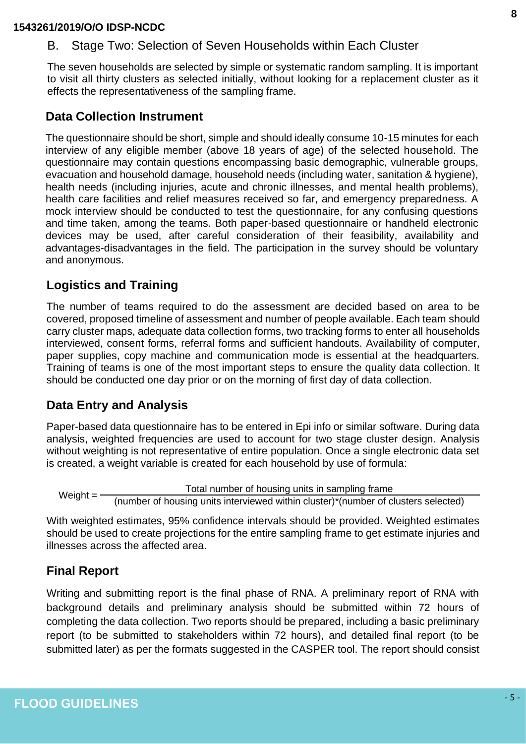### B. Stage Two: Selection of Seven Households within Each Cluster

The seven households are selected by simple or systematic random sampling. It is important to visit all thirty clusters as selected initially, without looking for a replacement cluster as it effects the representativeness of the sampling frame.

### **Data Collection Instrument**

The questionnaire should be short, simple and should ideally consume 10-15 minutes for each interview of any eligible member (above 18 years of age) of the selected household. The questionnaire may contain questions encompassing basic demographic, vulnerable groups, evacuation and household damage, household needs (including water, sanitation & hygiene), health needs (including injuries, acute and chronic illnesses, and mental health problems), health care facilities and relief measures received so far, and emergency preparedness. A mock interview should be conducted to test the questionnaire, for any confusing questions and time taken, among the teams. Both paper-based questionnaire or handheld electronic devices may be used, after careful consideration of their feasibility, availability and advantages-disadvantages in the field. The participation in the survey should be voluntary and anonymous.

### **Logistics and Training**

The number of teams required to do the assessment are decided based on area to be covered, proposed timeline of assessment and number of people available. Each team should carry cluster maps, adequate data collection forms, two tracking forms to enter all households interviewed, consent forms, referral forms and sufficient handouts. Availability of computer, paper supplies, copy machine and communication mode is essential at the headquarters. Training of teams is one of the most important steps to ensure the quality data collection. It should be conducted one day prior or on the morning of first day of data collection.

### **Data Entry and Analysis**

Paper-based data questionnaire has to be entered in Epi info or similar software. During data analysis, weighted frequencies are used to account for two stage cluster design. Analysis without weighting is not representative of entire population. Once a single electronic data set is created, a weight variable is created for each household by use of formula:

Weight  $=$   $-$ Total number of housing units in sampling frame (number of housing units interviewed within cluster)\*(number of clusters selected)

With weighted estimates, 95% confidence intervals should be provided. Weighted estimates should be used to create projections for the entire sampling frame to get estimate injuries and illnesses across the affected area.

### **Final Report**

Writing and submitting report is the final phase of RNA. A preliminary report of RNA with background details and preliminary analysis should be submitted within 72 hours of completing the data collection. Two reports should be prepared, including a basic preliminary report (to be submitted to stakeholders within 72 hours), and detailed final report (to be submitted later) as per the formats suggested in the CASPER tool. The report should consist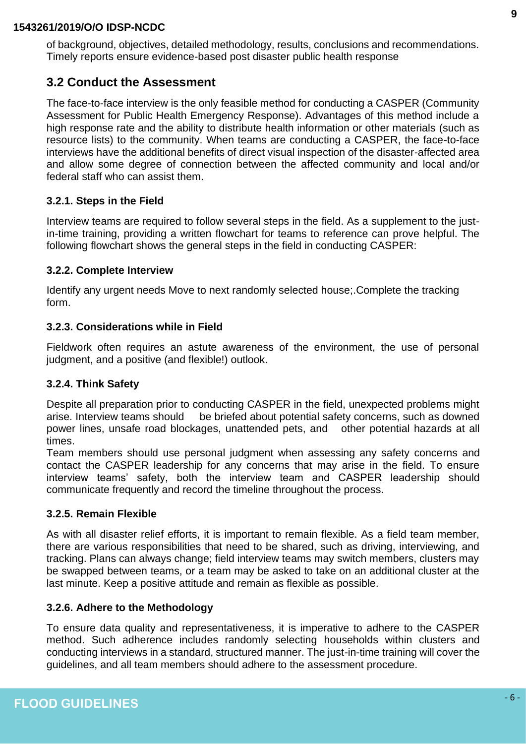of background, objectives, detailed methodology, results, conclusions and recommendations. Timely reports ensure evidence-based post disaster public health response

### **3.2 Conduct the Assessment**

The face-to-face interview is the only feasible method for conducting a CASPER (Community Assessment for Public Health Emergency Response). Advantages of this method include a high response rate and the ability to distribute health information or other materials (such as resource lists) to the community. When teams are conducting a CASPER, the face-to-face interviews have the additional benefits of direct visual inspection of the disaster-affected area and allow some degree of connection between the affected community and local and/or federal staff who can assist them.

#### **3.2.1. Steps in the Field**

Interview teams are required to follow several steps in the field. As a supplement to the justin-time training, providing a written flowchart for teams to reference can prove helpful. The following flowchart shows the general steps in the field in conducting CASPER:

#### **3.2.2. Complete Interview**

Identify any urgent needs Move to next randomly selected house;.Complete the tracking form.

#### **3.2.3. Considerations while in Field**

Fieldwork often requires an astute awareness of the environment, the use of personal judgment, and a positive (and flexible!) outlook.

#### **3.2.4. Think Safety**

Despite all preparation prior to conducting CASPER in the field, unexpected problems might arise. Interview teams should be briefed about potential safety concerns, such as downed power lines, unsafe road blockages, unattended pets, and other potential hazards at all times.

Team members should use personal judgment when assessing any safety concerns and contact the CASPER leadership for any concerns that may arise in the field. To ensure interview teams' safety, both the interview team and CASPER leadership should communicate frequently and record the timeline throughout the process.

#### **3.2.5. Remain Flexible**

As with all disaster relief efforts, it is important to remain flexible. As a field team member, there are various responsibilities that need to be shared, such as driving, interviewing, and tracking. Plans can always change; field interview teams may switch members, clusters may be swapped between teams, or a team may be asked to take on an additional cluster at the last minute. Keep a positive attitude and remain as flexible as possible.

#### **3.2.6. Adhere to the Methodology**

To ensure data quality and representativeness, it is imperative to adhere to the CASPER method. Such adherence includes randomly selecting households within clusters and conducting interviews in a standard, structured manner. The just-in-time training will cover the guidelines, and all team members should adhere to the assessment procedure.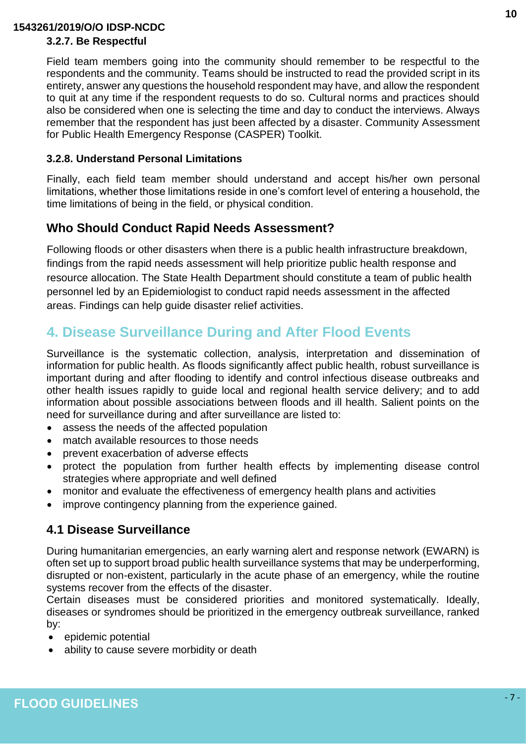### **3.2.7. Be Respectful**

Field team members going into the community should remember to be respectful to the respondents and the community. Teams should be instructed to read the provided script in its entirety, answer any questions the household respondent may have, and allow the respondent to quit at any time if the respondent requests to do so. Cultural norms and practices should also be considered when one is selecting the time and day to conduct the interviews. Always remember that the respondent has just been affected by a disaster. Community Assessment for Public Health Emergency Response (CASPER) Toolkit.

#### **3.2.8. Understand Personal Limitations**

Finally, each field team member should understand and accept his/her own personal limitations, whether those limitations reside in one's comfort level of entering a household, the time limitations of being in the field, or physical condition.

### **Who Should Conduct Rapid Needs Assessment?**

Following floods or other disasters when there is a public health infrastructure breakdown, findings from the rapid needs assessment will help prioritize public health response and resource allocation. The State Health Department should constitute a team of public health personnel led by an Epidemiologist to conduct rapid needs assessment in the affected areas. Findings can help guide disaster relief activities.

# **4. Disease Surveillance During and After Flood Events**

Surveillance is the systematic collection, analysis, interpretation and dissemination of information for public health. As floods significantly affect public health, robust surveillance is important during and after flooding to identify and control infectious disease outbreaks and other health issues rapidly to guide local and regional health service delivery; and to add information about possible associations between floods and ill health. Salient points on the need for surveillance during and after surveillance are listed to:

- assess the needs of the affected population
- match available resources to those needs
- prevent exacerbation of adverse effects
- protect the population from further health effects by implementing disease control strategies where appropriate and well defined
- monitor and evaluate the effectiveness of emergency health plans and activities
- improve contingency planning from the experience gained.

### **4.1 Disease Surveillance**

During humanitarian emergencies, an early warning alert and response network (EWARN) is often set up to support broad public health surveillance systems that may be underperforming, disrupted or non-existent, particularly in the acute phase of an emergency, while the routine systems recover from the effects of the disaster.

Certain diseases must be considered priorities and monitored systematically. Ideally, diseases or syndromes should be prioritized in the emergency outbreak surveillance, ranked by:

- epidemic potential
- ability to cause severe morbidity or death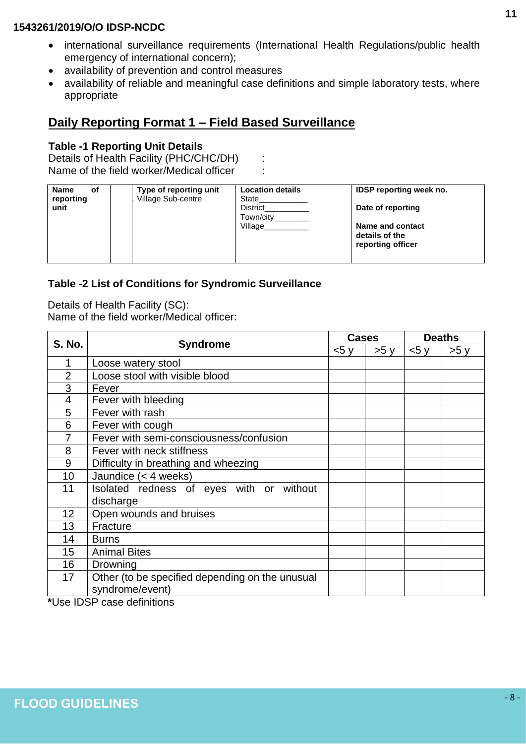- international surveillance requirements (International Health Regulations/public health emergency of international concern);
- availability of prevention and control measures
- availability of reliable and meaningful case definitions and simple laboratory tests, where appropriate

### **Daily Reporting Format 1 – Field Based Surveillance**

#### **Table -1 Reporting Unit Details**

Details of Health Facility (PHC/CHC/DH) : Name of the field worker/Medical officer :

| unit<br>District<br>Date of reporting<br>Town/city<br>Village<br>Name and contact<br>details of the<br>reporting officer | <b>Name</b><br>οf<br>reporting | Type of reporting unit<br>Village Sub-centre | <b>Location details</b><br>State | <b>IDSP</b> reporting week no. |
|--------------------------------------------------------------------------------------------------------------------------|--------------------------------|----------------------------------------------|----------------------------------|--------------------------------|
|--------------------------------------------------------------------------------------------------------------------------|--------------------------------|----------------------------------------------|----------------------------------|--------------------------------|

#### **Table -2 List of Conditions for Syndromic Surveillance**

Details of Health Facility (SC): Name of the field worker/Medical officer:

| <b>S. No.</b>   |                                                 | <b>Cases</b> |        | <b>Deaths</b> |     |
|-----------------|-------------------------------------------------|--------------|--------|---------------|-----|
|                 | <b>Syndrome</b>                                 | $<5$ y       | $>5$ y | <5y           | >5y |
| 1               | Loose watery stool                              |              |        |               |     |
| $\overline{2}$  | Loose stool with visible blood                  |              |        |               |     |
| $\mathfrak{S}$  | Fever                                           |              |        |               |     |
| 4               | Fever with bleeding                             |              |        |               |     |
| 5               | Fever with rash                                 |              |        |               |     |
| 6               | Fever with cough                                |              |        |               |     |
| 7               | Fever with semi-consciousness/confusion         |              |        |               |     |
| 8               | Fever with neck stiffness                       |              |        |               |     |
| 9               | Difficulty in breathing and wheezing            |              |        |               |     |
| 10              | Jaundice $(< 4$ weeks)                          |              |        |               |     |
| 11              | Isolated redness of eyes with or without        |              |        |               |     |
|                 | discharge                                       |              |        |               |     |
| 12 <sub>2</sub> | Open wounds and bruises                         |              |        |               |     |
| 13              | Fracture                                        |              |        |               |     |
| 14              | <b>Burns</b>                                    |              |        |               |     |
| 15              | <b>Animal Bites</b>                             |              |        |               |     |
| 16              | Drowning                                        |              |        |               |     |
| 17              | Other (to be specified depending on the unusual |              |        |               |     |
|                 | syndrome/event)                                 |              |        |               |     |

**\***Use IDSP case definitions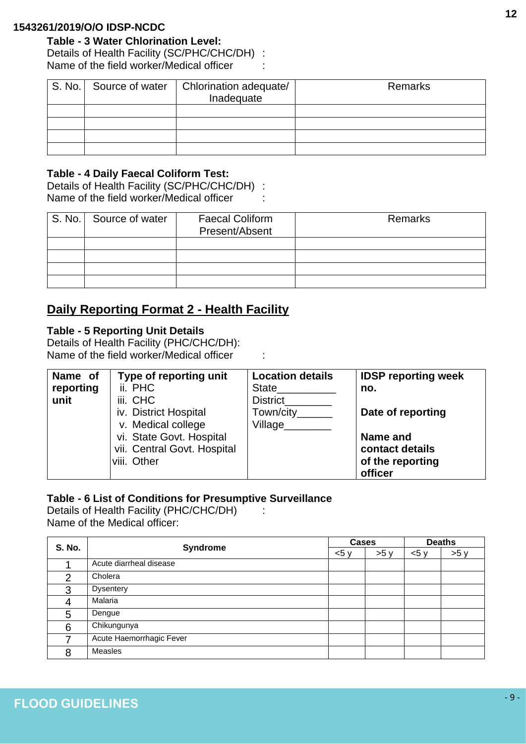### **Table - 3 Water Chlorination Level:**

Details of Health Facility (SC/PHC/CHC/DH) : Name of the field worker/Medical officer :

|  | S. No. Source of water   Chlorination adequate/<br>Inadequate | <b>Remarks</b> |
|--|---------------------------------------------------------------|----------------|
|  |                                                               |                |
|  |                                                               |                |
|  |                                                               |                |
|  |                                                               |                |

#### **Table - 4 Daily Faecal Coliform Test:**

Details of Health Facility (SC/PHC/CHC/DH) : Name of the field worker/Medical officer :

| S. No. Source of water | <b>Faecal Coliform</b><br>Present/Absent | <b>Remarks</b> |
|------------------------|------------------------------------------|----------------|
|                        |                                          |                |
|                        |                                          |                |
|                        |                                          |                |
|                        |                                          |                |

### **Daily Reporting Format 2 - Health Facility**

#### **Table - 5 Reporting Unit Details**

Details of Health Facility (PHC/CHC/DH): Name of the field worker/Medical officer :

| Name of   | Type of reporting unit      | <b>Location details</b> | <b>IDSP reporting week</b> |
|-----------|-----------------------------|-------------------------|----------------------------|
| reporting | ii. PHC                     | State                   | no.                        |
| unit      | iii. CHC                    | <b>District</b>         |                            |
|           | iv. District Hospital       | Town/city______         | Date of reporting          |
|           | v. Medical college          | Village___              |                            |
|           | vi. State Govt. Hospital    |                         | Name and                   |
|           | vii. Central Govt. Hospital |                         | contact details            |
|           | viii. Other                 |                         | of the reporting           |
|           |                             |                         | officer                    |

#### **Table - 6 List of Conditions for Presumptive Surveillance**

Details of Health Facility (PHC/CHC/DH) : Name of the Medical officer:

| S. No.         |                          | <b>Cases</b> |        | <b>Deaths</b> |     |  |
|----------------|--------------------------|--------------|--------|---------------|-----|--|
|                | <b>Syndrome</b>          | < 5v         | $>5$ y | $<5$ y        | >5y |  |
|                | Acute diarrheal disease  |              |        |               |     |  |
| $\overline{2}$ | Cholera                  |              |        |               |     |  |
| 3              | Dysentery                |              |        |               |     |  |
| 4              | Malaria                  |              |        |               |     |  |
| 5              | Dengue                   |              |        |               |     |  |
| 6              | Chikungunya              |              |        |               |     |  |
|                | Acute Haemorrhagic Fever |              |        |               |     |  |
| 8              | Measles                  |              |        |               |     |  |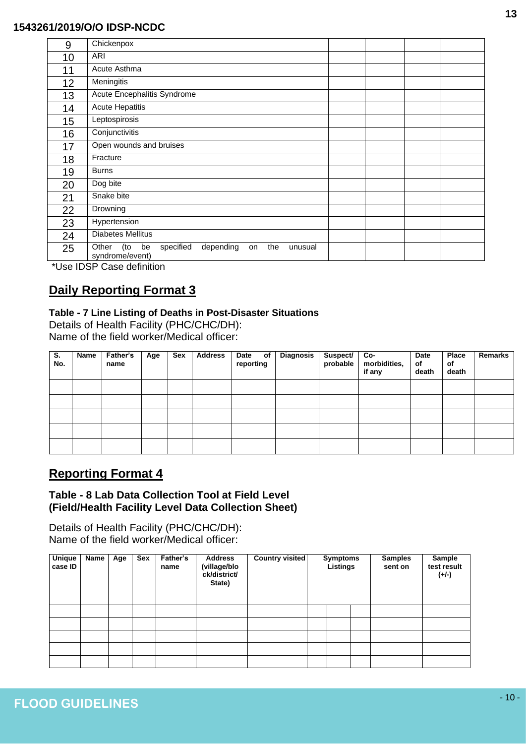| 9              | Chickenpox                                                                                                |  |  |
|----------------|-----------------------------------------------------------------------------------------------------------|--|--|
| 10             | ARI                                                                                                       |  |  |
| 11             | Acute Asthma                                                                                              |  |  |
| 12             | Meningitis                                                                                                |  |  |
| 13             | Acute Encephalitis Syndrome                                                                               |  |  |
| 14             | <b>Acute Hepatitis</b>                                                                                    |  |  |
| 15             | Leptospirosis                                                                                             |  |  |
| 16             | Conjunctivitis                                                                                            |  |  |
| 17             | Open wounds and bruises                                                                                   |  |  |
| 18             | Fracture                                                                                                  |  |  |
| 19             | <b>Burns</b>                                                                                              |  |  |
| 20             | Dog bite                                                                                                  |  |  |
| 21             | Snake bite                                                                                                |  |  |
| 22             | Drowning                                                                                                  |  |  |
| 23             | Hypertension                                                                                              |  |  |
| 24             | <b>Diabetes Mellitus</b>                                                                                  |  |  |
| 25<br>$\cdots$ | specified<br>Other<br>(to<br>depending<br>be<br>the<br>unusual<br>on<br>syndrome/event)<br>$- - - -$<br>. |  |  |

\*Use IDSP Case definition

## **Daily Reporting Format 3**

#### **Table - 7 Line Listing of Deaths in Post-Disaster Situations**

Details of Health Facility (PHC/CHC/DH):

Name of the field worker/Medical officer:

| S.<br>No. | Name | Father's<br>name | Age | <b>Sex</b> | <b>Address</b> | Date of<br>reporting | <b>Diagnosis</b> | Suspect/<br>probable | Co-<br>morbidities,<br>if any | Date<br>of<br>death | Place<br>οf<br>death | Remarks |
|-----------|------|------------------|-----|------------|----------------|----------------------|------------------|----------------------|-------------------------------|---------------------|----------------------|---------|
|           |      |                  |     |            |                |                      |                  |                      |                               |                     |                      |         |
|           |      |                  |     |            |                |                      |                  |                      |                               |                     |                      |         |
|           |      |                  |     |            |                |                      |                  |                      |                               |                     |                      |         |
|           |      |                  |     |            |                |                      |                  |                      |                               |                     |                      |         |
|           |      |                  |     |            |                |                      |                  |                      |                               |                     |                      |         |

### **Reporting Format 4**

#### **Table - 8 Lab Data Collection Tool at Field Level (Field/Health Facility Level Data Collection Sheet)**

Details of Health Facility (PHC/CHC/DH): Name of the field worker/Medical officer:

| <b>Unique</b><br>case ID | Name | Age | Sex | <b>Father's</b><br>name | <b>Address</b><br>(village/blo<br>ck/district/<br>State) | <b>Country visited</b> | <b>Symptoms</b><br><b>Listings</b> |  | <b>Samples</b><br>sent on | Sample<br>test result<br>$(+/-)$ |  |
|--------------------------|------|-----|-----|-------------------------|----------------------------------------------------------|------------------------|------------------------------------|--|---------------------------|----------------------------------|--|
|                          |      |     |     |                         |                                                          |                        |                                    |  |                           |                                  |  |
|                          |      |     |     |                         |                                                          |                        |                                    |  |                           |                                  |  |
|                          |      |     |     |                         |                                                          |                        |                                    |  |                           |                                  |  |
|                          |      |     |     |                         |                                                          |                        |                                    |  |                           |                                  |  |
|                          |      |     |     |                         |                                                          |                        |                                    |  |                           |                                  |  |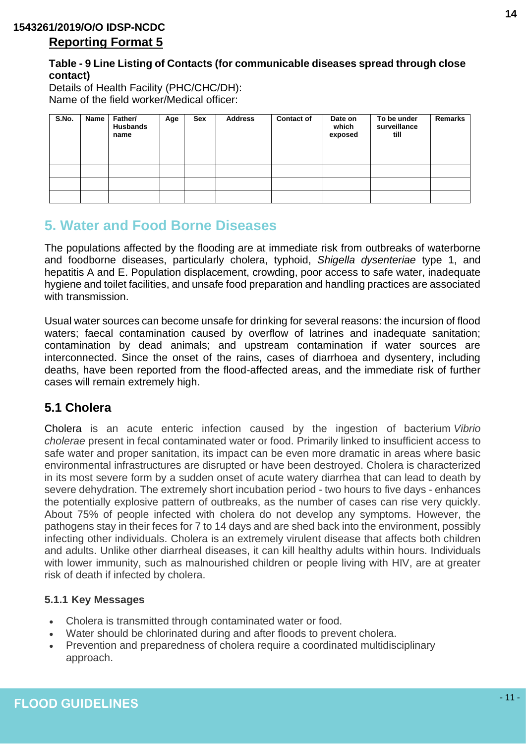### **Reporting Format 5**

#### **Table - 9 Line Listing of Contacts (for communicable diseases spread through close contact)**

Details of Health Facility (PHC/CHC/DH): Name of the field worker/Medical officer:

| S.No. | Name | Father/<br><b>Husbands</b><br>name | Age | Sex | <b>Address</b> | <b>Contact of</b> | Date on<br>which<br>exposed | To be under<br>surveillance<br>till | <b>Remarks</b> |
|-------|------|------------------------------------|-----|-----|----------------|-------------------|-----------------------------|-------------------------------------|----------------|
|       |      |                                    |     |     |                |                   |                             |                                     |                |
|       |      |                                    |     |     |                |                   |                             |                                     |                |
|       |      |                                    |     |     |                |                   |                             |                                     |                |

# **5. Water and Food Borne Diseases**

The populations affected by the flooding are at immediate risk from outbreaks of waterborne and foodborne diseases, particularly cholera, typhoid, *Shigella dysenteriae* type 1, and hepatitis A and E. Population displacement, crowding, poor access to safe water, inadequate hygiene and toilet facilities, and unsafe food preparation and handling practices are associated with transmission.

Usual water sources can become unsafe for drinking for several reasons: the incursion of flood waters; faecal contamination caused by overflow of latrines and inadequate sanitation; contamination by dead animals; and upstream contamination if water sources are interconnected. Since the onset of the rains, cases of diarrhoea and dysentery, including deaths, have been reported from the flood-affected areas, and the immediate risk of further cases will remain extremely high.

## **5.1 Cholera**

Cholera is an acute enteric infection caused by the ingestion of bacterium *Vibrio cholerae* present in fecal contaminated water or food. Primarily linked to insufficient access to safe water and proper sanitation, its impact can be even more dramatic in areas where basic environmental infrastructures are disrupted or have been destroyed. Cholera is characterized in its most severe form by a sudden onset of acute watery diarrhea that can lead to death by severe dehydration. The extremely short incubation period - two hours to five days - enhances the potentially explosive pattern of outbreaks, as the number of cases can rise very quickly. About 75% of people infected with cholera do not develop any symptoms. However, the pathogens stay in their feces for 7 to 14 days and are shed back into the environment, possibly infecting other individuals. Cholera is an extremely virulent disease that affects both children and adults. Unlike other diarrheal diseases, it can kill healthy adults within hours. Individuals with lower immunity, such as malnourished children or people living with HIV, are at greater risk of death if infected by cholera.

### **5.1.1 Key Messages**

- Cholera is transmitted through contaminated water or food.
- Water should be chlorinated during and after floods to prevent cholera.
- Prevention and preparedness of cholera require a coordinated multidisciplinary approach.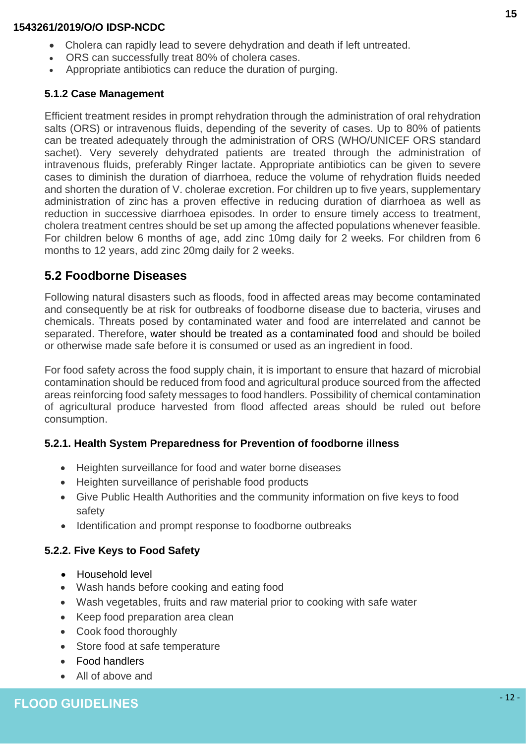- Cholera can rapidly lead to severe dehydration and death if left untreated.
- ORS can successfully treat 80% of cholera cases.
- Appropriate antibiotics can reduce the duration of purging.

#### **5.1.2 Case Management**

Efficient treatment resides in prompt rehydration through the administration of oral rehydration salts (ORS) or intravenous fluids, depending of the severity of cases. Up to 80% of patients can be treated adequately through the administration of ORS (WHO/UNICEF ORS standard sachet). Very severely dehydrated patients are treated through the administration of intravenous fluids, preferably Ringer lactate. Appropriate antibiotics can be given to severe cases to diminish the duration of diarrhoea, reduce the volume of rehydration fluids needed and shorten the duration of V. cholerae excretion. For children up to five years, supplementary administration of zinc has a proven effective in reducing duration of diarrhoea as well as reduction in successive diarrhoea episodes. In order to ensure timely access to treatment, cholera treatment centres should be set up among the affected populations whenever feasible. For children below 6 months of age, add zinc 10mg daily for 2 weeks. For children from 6 months to 12 years, add zinc 20mg daily for 2 weeks.

### **5.2 Foodborne Diseases**

Following natural disasters such as floods, food in affected areas may become contaminated and consequently be at risk for outbreaks of foodborne disease due to bacteria, viruses and chemicals. Threats posed by contaminated water and food are interrelated and cannot be separated. Therefore, water should be treated as a contaminated food and should be boiled or otherwise made safe before it is consumed or used as an ingredient in food.

For food safety across the food supply chain, it is important to ensure that hazard of microbial contamination should be reduced from food and agricultural produce sourced from the affected areas reinforcing food safety messages to food handlers. Possibility of chemical contamination of agricultural produce harvested from flood affected areas should be ruled out before consumption.

#### **5.2.1. Health System Preparedness for Prevention of foodborne illness**

- Heighten surveillance for food and water borne diseases
- Heighten surveillance of perishable food products
- Give Public Health Authorities and the community information on five keys to food safety
- Identification and prompt response to foodborne outbreaks

#### **5.2.2. Five Keys to Food Safety**

- Household level
- Wash hands before cooking and eating food
- Wash vegetables, fruits and raw material prior to cooking with safe water
- Keep food preparation area clean
- Cook food thoroughly
- Store food at safe temperature
- Food handlers
- All of above and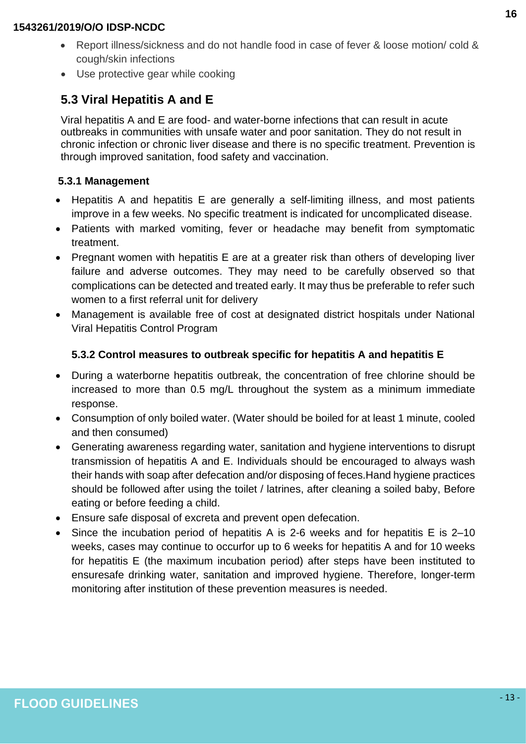- Report illness/sickness and do not handle food in case of fever & loose motion/ cold & cough/skin infections
- Use protective gear while cooking

### **5.3 Viral Hepatitis A and E**

Viral hepatitis A and E are food- and water-borne infections that can result in acute outbreaks in communities with unsafe water and poor sanitation. They do not result in chronic infection or chronic liver disease and there is no specific treatment. Prevention is through improved sanitation, food safety and vaccination.

#### **5.3.1 Management**

- Hepatitis A and hepatitis E are generally a self-limiting illness, and most patients improve in a few weeks. No specific treatment is indicated for uncomplicated disease.
- Patients with marked vomiting, fever or headache may benefit from symptomatic treatment.
- Pregnant women with hepatitis E are at a greater risk than others of developing liver failure and adverse outcomes. They may need to be carefully observed so that complications can be detected and treated early. It may thus be preferable to refer such women to a first referral unit for delivery
- Management is available free of cost at designated district hospitals under National Viral Hepatitis Control Program

#### **5.3.2 Control measures to outbreak specific for hepatitis A and hepatitis E**

- During a waterborne hepatitis outbreak, the concentration of free chlorine should be increased to more than 0.5 mg/L throughout the system as a minimum immediate response.
- Consumption of only boiled water. (Water should be boiled for at least 1 minute, cooled and then consumed)
- Generating awareness regarding water, sanitation and hygiene interventions to disrupt transmission of hepatitis A and E. Individuals should be encouraged to always wash their hands with soap after defecation and/or disposing of feces.Hand hygiene practices should be followed after using the toilet / latrines, after cleaning a soiled baby, Before eating or before feeding a child.
- Ensure safe disposal of excreta and prevent open defecation.
- Since the incubation period of hepatitis A is 2-6 weeks and for hepatitis E is 2–10 weeks, cases may continue to occurfor up to 6 weeks for hepatitis A and for 10 weeks for hepatitis E (the maximum incubation period) after steps have been instituted to ensuresafe drinking water, sanitation and improved hygiene. Therefore, longer-term monitoring after institution of these prevention measures is needed.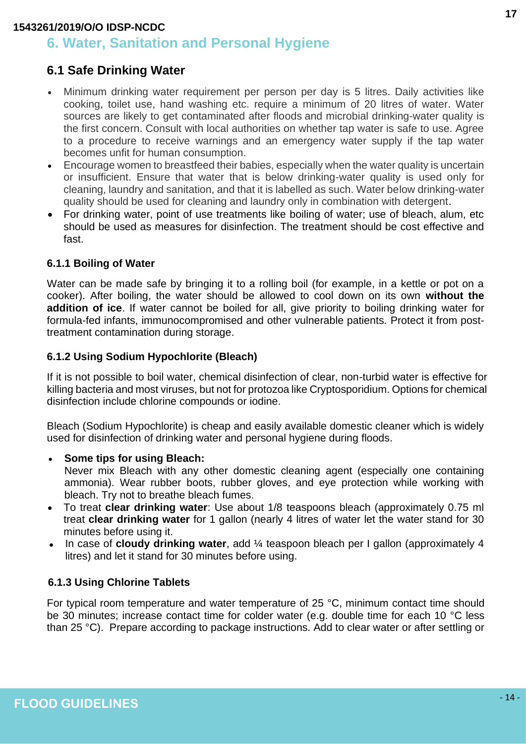# **6. Water, Sanitation and Personal Hygiene**

#### **6.1 Safe Drinking Water**

- Minimum drinking water requirement per person per day is 5 litres. Daily activities like cooking, toilet use, hand washing etc. require a minimum of 20 litres of water. Water sources are likely to get contaminated after floods and microbial drinking-water quality is the first concern. Consult with local authorities on whether tap water is safe to use. Agree to a procedure to receive warnings and an emergency water supply if the tap water becomes unfit for human consumption.
- Encourage women to breastfeed their babies, especially when the water quality is uncertain or insufficient. Ensure that water that is below drinking-water quality is used only for cleaning, laundry and sanitation, and that it is labelled as such. Water below drinking-water quality should be used for cleaning and laundry only in combination with detergent.
- For drinking water, point of use treatments like boiling of water; use of bleach, alum, etc should be used as measures for disinfection. The treatment should be cost effective and fast.

#### **6.1.1 Boiling of Water**

Water can be made safe by bringing it to a rolling boil (for example, in a kettle or pot on a cooker). After boiling, the water should be allowed to cool down on its own **without the addition of ice**. If water cannot be boiled for all, give priority to boiling drinking water for formula-fed infants, immunocompromised and other vulnerable patients. Protect it from posttreatment contamination during storage.

#### **6.1.2 Using Sodium Hypochlorite (Bleach)**

If it is not possible to boil water, chemical disinfection of clear, non-turbid water is effective for killing bacteria and most viruses, but not for protozoa like Cryptosporidium. Options for chemical disinfection include chlorine compounds or iodine.

Bleach (Sodium Hypochlorite) is cheap and easily available domestic cleaner which is widely used for disinfection of drinking water and personal hygiene during floods.

#### • **Some tips for using Bleach:**

Never mix Bleach with any other domestic cleaning agent (especially one containing ammonia). Wear rubber boots, rubber gloves, and eye protection while working with bleach. Try not to breathe bleach fumes.

- To treat **clear drinking water**: Use about 1/8 teaspoons bleach (approximately 0.75 ml treat **clear drinking water** for 1 gallon (nearly 4 litres of water let the water stand for 30 minutes before using it.
- In case of **cloudy drinking water**, add ¼ teaspoon bleach per I gallon (approximately 4 litres) and let it stand for 30 minutes before using.

#### **6.1.3 Using Chlorine Tablets**

For typical room temperature and water temperature of 25 °C, minimum contact time should be 30 minutes; increase contact time for colder water (e.g. double time for each 10 °C less than 25 °C). Prepare according to package instructions. Add to clear water or after settling or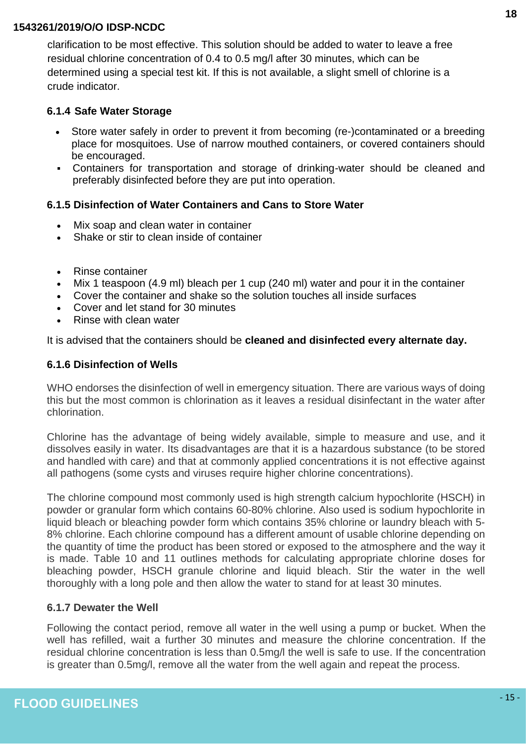clarification to be most effective. This solution should be added to water to leave a free residual chlorine concentration of 0.4 to 0.5 mg/l after 30 minutes, which can be determined using a special test kit. If this is not available, a slight smell of chlorine is a crude indicator.

#### **6.1.4 Safe Water Storage**

- Store water safely in order to prevent it from becoming (re-)contaminated or a breeding place for mosquitoes. Use of narrow mouthed containers, or covered containers should be encouraged.
- Containers for transportation and storage of drinking-water should be cleaned and preferably disinfected before they are put into operation.

#### **6.1.5 Disinfection of Water Containers and Cans to Store Water**

- Mix soap and clean water in container
- Shake or stir to clean inside of container
- Rinse container
- Mix 1 teaspoon (4.9 ml) bleach per 1 cup (240 ml) water and pour it in the container
- Cover the container and shake so the solution touches all inside surfaces
- Cover and let stand for 30 minutes
- Rinse with clean water

It is advised that the containers should be **cleaned and disinfected every alternate day.**

#### **6.1.6 Disinfection of Wells**

WHO endorses the disinfection of well in emergency situation. There are various ways of doing this but the most common is chlorination as it leaves a residual disinfectant in the water after chlorination.

Chlorine has the advantage of being widely available, simple to measure and use, and it dissolves easily in water. Its disadvantages are that it is a hazardous substance (to be stored and handled with care) and that at commonly applied concentrations it is not effective against all pathogens (some cysts and viruses require higher chlorine concentrations).

The chlorine compound most commonly used is high strength calcium hypochlorite (HSCH) in powder or granular form which contains 60-80% chlorine. Also used is sodium hypochlorite in liquid bleach or bleaching powder form which contains 35% chlorine or laundry bleach with 5- 8% chlorine. Each chlorine compound has a different amount of usable chlorine depending on the quantity of time the product has been stored or exposed to the atmosphere and the way it is made. Table 10 and 11 outlines methods for calculating appropriate chlorine doses for bleaching powder, HSCH granule chlorine and liquid bleach. Stir the water in the well thoroughly with a long pole and then allow the water to stand for at least 30 minutes.

#### **6.1.7 Dewater the Well**

Following the contact period, remove all water in the well using a pump or bucket. When the well has refilled, wait a further 30 minutes and measure the chlorine concentration. If the residual chlorine concentration is less than 0.5mg/l the well is safe to use. If the concentration is greater than 0.5mg/l, remove all the water from the well again and repeat the process.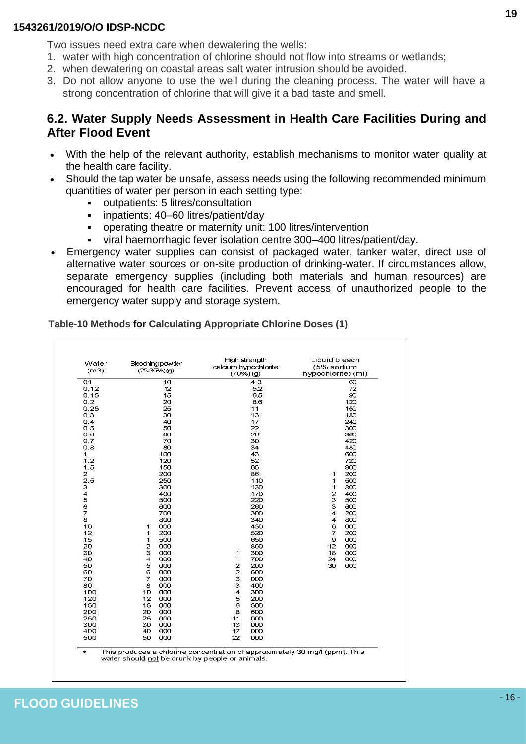Two issues need extra care when dewatering the wells:

- 1. water with high concentration of chlorine should not flow into streams or wetlands;
- 2. when dewatering on coastal areas salt water intrusion should be avoided.
- 3. Do not allow anyone to use the well during the cleaning process. The water will have a strong concentration of chlorine that will give it a bad taste and smell.

### **6.2. Water Supply Needs Assessment in Health Care Facilities During and After Flood Event**

- With the help of the relevant authority, establish mechanisms to monitor water quality at the health care facility.
- Should the tap water be unsafe, assess needs using the following recommended minimum quantities of water per person in each setting type:
	- outpatients: 5 litres/consultation
	- inpatients: 40–60 litres/patient/day
	- operating theatre or maternity unit: 100 litres/intervention
	- viral haemorrhagic fever isolation centre 300–400 litres/patient/day.
- Emergency water supplies can consist of packaged water, tanker water, direct use of alternative water sources or on-site production of drinking-water. If circumstances allow, separate emergency supplies (including both materials and human resources) are encouraged for health care facilities. Prevent access of unauthorized people to the emergency water supply and storage system.

### **Table-10 Methods for Calculating Appropriate Chlorine Doses (1)**

| Water<br>(m3)           |                         | Bleaching powder<br>$(25-35%)$ (g) |                         | High strength<br>calcium hypochlorite<br>$(70%)$ (g) | Liquid bleach<br>(5% sodium<br>hypochlorite) (ml) |            |
|-------------------------|-------------------------|------------------------------------|-------------------------|------------------------------------------------------|---------------------------------------------------|------------|
| Q <sub>1</sub>          |                         | 10                                 |                         | 4.3                                                  |                                                   | 60         |
| 0.12                    |                         | 12                                 |                         | 5.2                                                  |                                                   | 72         |
| 0.15                    |                         | 15                                 |                         | 6.5                                                  |                                                   | 90         |
| 0.2                     |                         | 20                                 |                         | 8.6                                                  |                                                   | 120        |
| 0.25                    |                         | 25                                 |                         | 11                                                   |                                                   | 150        |
| 0.3                     |                         | 30                                 |                         | 13                                                   |                                                   | 180        |
| 0.4                     |                         | 40                                 |                         | 17                                                   |                                                   | 240        |
| 0.5                     |                         | 50                                 |                         | 22                                                   |                                                   | 300        |
| 0.6                     |                         | 60                                 |                         | 26                                                   |                                                   | 360        |
| 0.7                     |                         | 70                                 |                         | 30                                                   |                                                   | 420        |
| O.8                     |                         | 80                                 |                         | 34                                                   |                                                   | 480        |
| $\mathbf{1}$            |                         | 100                                |                         | 43                                                   |                                                   | 600        |
| 1.2                     |                         | 120                                |                         | 52                                                   |                                                   | 720        |
| 1.5                     |                         | 150                                |                         | 65                                                   |                                                   | 900        |
| $\overline{\mathbf{c}}$ |                         | 200                                |                         | 86                                                   | $\mathbf{1}$                                      | 200        |
| 2.5                     |                         | 250                                |                         | 110                                                  | $\mathbf{1}$                                      | 500        |
| 3                       |                         | 300                                |                         | 130                                                  | $\mathbf{1}$                                      | 800        |
| $\overline{\mathbf{4}}$ |                         | 400                                |                         | 170                                                  | $\overline{a}$                                    | 400        |
| 5                       |                         | 500                                |                         | 220                                                  | 3                                                 | 500        |
|                         |                         | 600                                |                         | 260                                                  | 3                                                 | 600        |
| $\frac{6}{7}$           |                         | 700                                |                         | 300                                                  | $\overline{\mathbf{4}}$                           | 200        |
| 8                       |                         | 800                                |                         | 340                                                  | $\overline{\mathbf{4}}$                           | 800        |
| 10                      | 1                       | 000                                |                         | 430                                                  | 6                                                 | 000        |
| 12                      | $\mathbf{1}$            | 200                                |                         | 520                                                  | $\overline{7}$                                    | 200        |
| 15                      | $\mathbf{1}$            | 500                                |                         | 650                                                  | $\mathbf{9}$                                      | 000        |
| 20                      | $\overline{2}$          | OOO                                |                         | 860                                                  | 12                                                | 000        |
| 30                      | 3                       | OOO                                | $\mathbf{1}$            | 300                                                  | 18                                                | <b>OOO</b> |
| 40                      | $\overline{\mathbf{4}}$ | 000                                | $\mathbf{1}$            | 700                                                  | 24                                                | <b>OOO</b> |
| 50                      | 5                       | 000                                | $\overline{\mathbf{c}}$ | 200                                                  | 30                                                | 000        |
| 60                      | 6                       | 000                                | $\frac{2}{3}$           | 600                                                  |                                                   |            |
| 70                      | $\overline{7}$          | OOO                                |                         | 000                                                  |                                                   |            |
| 80                      | 8                       | OOO                                | 3                       | 400                                                  |                                                   |            |
| 100                     | 10                      | OOO                                | $\overline{\mathbf{4}}$ | 300                                                  |                                                   |            |
| 120                     | 12                      | OOO                                | 5                       | 200                                                  |                                                   |            |
| 150                     | 15                      | <b>OOO</b>                         | 6                       | 500                                                  |                                                   |            |
| 200                     | 20                      | 000                                | 8                       | 600                                                  |                                                   |            |
| 250                     | 25                      | 000                                | 11                      | 000                                                  |                                                   |            |
| 300                     | 30                      | <b>OOO</b>                         | 13                      | 000                                                  |                                                   |            |
| 400                     | 40                      | <b>OOO</b>                         | 17                      | 000                                                  |                                                   |            |
| 500                     | 50                      | OOO                                | 22                      | <b>OOO</b>                                           |                                                   |            |

water should not be drunk by people or animals.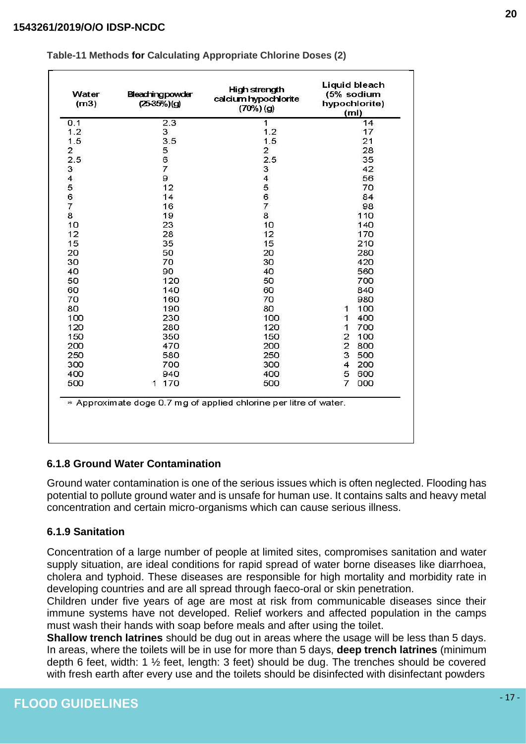| Water<br>(m3)                              | Bleachingpowder<br>$(25-35%)$ (g) | High strength<br>calcium hypochlorite<br>$(70%)$ (g) | <b>Liquid bleach</b><br>(5% sodium<br>hypochlorite)<br>(m <sub>l</sub> ) |
|--------------------------------------------|-----------------------------------|------------------------------------------------------|--------------------------------------------------------------------------|
| 0.1                                        | 2.3                               | 1                                                    | 14                                                                       |
| 1.2                                        | 3                                 | 1.2                                                  | 17                                                                       |
| 1.5                                        | 3.5                               | 1.5                                                  | 21                                                                       |
| $\overline{\mathbf{c}}$                    | 5                                 | 2                                                    | 28                                                                       |
| 2.5                                        | 6                                 | 2.5                                                  | 35                                                                       |
| 3                                          | $\overline{7}$                    | 3                                                    | 42                                                                       |
|                                            | 9                                 | 4                                                    | 56                                                                       |
|                                            | 12                                | 5                                                    | 70                                                                       |
| $\begin{array}{c} 4 \\ 5 \\ 6 \end{array}$ | 14                                | 6                                                    | 84                                                                       |
| 7                                          | 16                                | $\overline{7}$                                       | 98                                                                       |
| 8                                          | 19                                | 8                                                    | 110                                                                      |
| 10                                         | 23                                | 10                                                   | 140                                                                      |
| 12                                         | 28                                | 12                                                   | 170                                                                      |
| 15                                         | 35                                | 15                                                   | 210                                                                      |
| 20                                         | 50                                | 20                                                   | 280                                                                      |
| 30                                         | 70                                | 30                                                   | 420                                                                      |
| 40                                         | 90                                | 40                                                   | 560                                                                      |
| 50                                         | 120                               | 50                                                   | 700                                                                      |
| 60                                         | 140                               | 60                                                   | 840                                                                      |
| 70                                         | 160                               | 70                                                   | 980                                                                      |
| 80                                         | 190                               | 80                                                   | 100<br>1                                                                 |
| 100                                        | 230                               | 100                                                  | 400<br>1                                                                 |
| 120                                        | 280                               | 120                                                  | $\mathbf{1}$<br>700                                                      |
| 150                                        | 350                               | 150                                                  | 100                                                                      |
| 200                                        | 470                               | 200                                                  | $\frac{2}{2}$<br>800                                                     |
| 250                                        | 580                               | 250                                                  | 3<br>500                                                                 |
| 300                                        | 700                               | 300                                                  | $\overline{\mathbf{4}}$<br>200                                           |
| 400                                        | 940                               | 400                                                  | 5<br>600                                                                 |
| 500                                        | 170<br>1                          | 500                                                  | $\overline{7}$<br>000                                                    |

**Table-11 Methods for Calculating Appropriate Chlorine Doses (2)**

#### **6.1.8 Ground Water Contamination**

Ground water contamination is one of the serious issues which is often neglected. Flooding has potential to pollute ground water and is unsafe for human use. It contains salts and heavy metal concentration and certain micro-organisms which can cause serious illness.

#### **6.1.9 Sanitation**

Concentration of a large number of people at limited sites, compromises sanitation and water supply situation, are ideal conditions for rapid spread of water borne diseases like diarrhoea, cholera and typhoid. These diseases are responsible for high mortality and morbidity rate in developing countries and are all spread through faeco-oral or skin penetration.

Children under five years of age are most at risk from communicable diseases since their immune systems have not developed. Relief workers and affected population in the camps must wash their hands with soap before meals and after using the toilet.

**Shallow trench latrines** should be dug out in areas where the usage will be less than 5 days. In areas, where the toilets will be in use for more than 5 days, **deep trench latrines** (minimum depth 6 feet, width: 1 ½ feet, length: 3 feet) should be dug. The trenches should be covered with fresh earth after every use and the toilets should be disinfected with disinfectant powders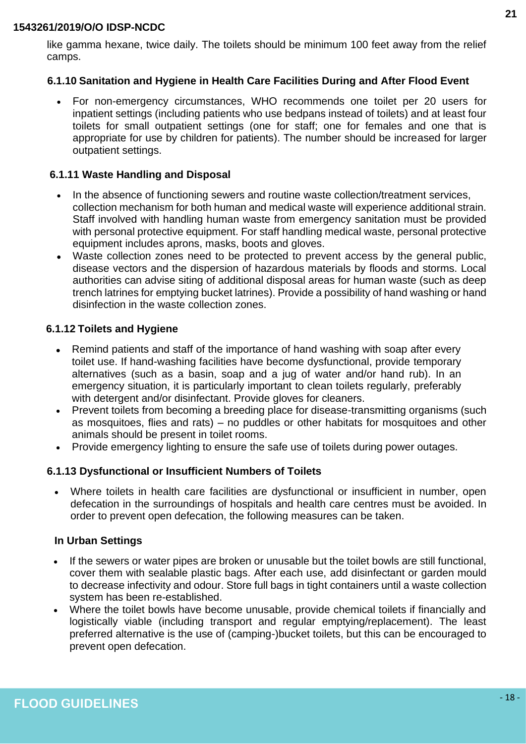like gamma hexane, twice daily. The toilets should be minimum 100 feet away from the relief camps.

#### **6.1.10 Sanitation and Hygiene in Health Care Facilities During and After Flood Event**

• For non-emergency circumstances, WHO recommends one toilet per 20 users for inpatient settings (including patients who use bedpans instead of toilets) and at least four toilets for small outpatient settings (one for staff; one for females and one that is appropriate for use by children for patients). The number should be increased for larger outpatient settings.

#### **6.1.11 Waste Handling and Disposal**

- In the absence of functioning sewers and routine waste collection/treatment services, collection mechanism for both human and medical waste will experience additional strain. Staff involved with handling human waste from emergency sanitation must be provided with personal protective equipment. For staff handling medical waste, personal protective equipment includes aprons, masks, boots and gloves.
- Waste collection zones need to be protected to prevent access by the general public, disease vectors and the dispersion of hazardous materials by floods and storms. Local authorities can advise siting of additional disposal areas for human waste (such as deep trench latrines for emptying bucket latrines). Provide a possibility of hand washing or hand disinfection in the waste collection zones.

#### **6.1.12 Toilets and Hygiene**

- Remind patients and staff of the importance of hand washing with soap after every toilet use. If hand-washing facilities have become dysfunctional, provide temporary alternatives (such as a basin, soap and a jug of water and/or hand rub). In an emergency situation, it is particularly important to clean toilets regularly, preferably with detergent and/or disinfectant. Provide gloves for cleaners.
- Prevent toilets from becoming a breeding place for disease-transmitting organisms (such as mosquitoes, flies and rats) – no puddles or other habitats for mosquitoes and other animals should be present in toilet rooms.
- Provide emergency lighting to ensure the safe use of toilets during power outages.

#### **6.1.13 Dysfunctional or Insufficient Numbers of Toilets**

• Where toilets in health care facilities are dysfunctional or insufficient in number, open defecation in the surroundings of hospitals and health care centres must be avoided. In order to prevent open defecation, the following measures can be taken.

#### **In Urban Settings**

- If the sewers or water pipes are broken or unusable but the toilet bowls are still functional, cover them with sealable plastic bags. After each use, add disinfectant or garden mould to decrease infectivity and odour. Store full bags in tight containers until a waste collection system has been re-established.
- Where the toilet bowls have become unusable, provide chemical toilets if financially and logistically viable (including transport and regular emptying/replacement). The least preferred alternative is the use of (camping-)bucket toilets, but this can be encouraged to prevent open defecation.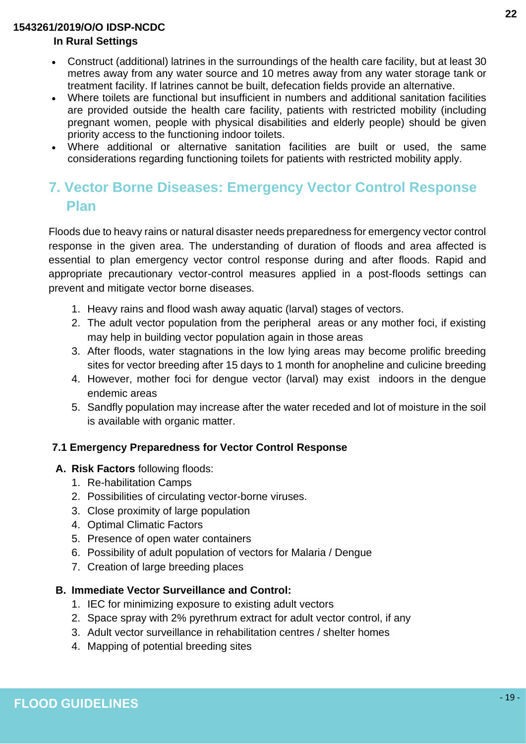#### **In Rural Settings**

- Construct (additional) latrines in the surroundings of the health care facility, but at least 30 metres away from any water source and 10 metres away from any water storage tank or treatment facility. If latrines cannot be built, defecation fields provide an alternative.
- Where toilets are functional but insufficient in numbers and additional sanitation facilities are provided outside the health care facility, patients with restricted mobility (including pregnant women, people with physical disabilities and elderly people) should be given priority access to the functioning indoor toilets.
- Where additional or alternative sanitation facilities are built or used, the same considerations regarding functioning toilets for patients with restricted mobility apply.

# **7. Vector Borne Diseases: Emergency Vector Control Response Plan**

Floods due to heavy rains or natural disaster needs preparedness for emergency vector control response in the given area. The understanding of duration of floods and area affected is essential to plan emergency vector control response during and after floods. Rapid and appropriate precautionary vector-control measures applied in a post-floods settings can prevent and mitigate vector borne diseases.

- 1. Heavy rains and flood wash away aquatic (larval) stages of vectors.
- 2. The adult vector population from the peripheral areas or any mother foci, if existing may help in building vector population again in those areas
- 3. After floods, water stagnations in the low lying areas may become prolific breeding sites for vector breeding after 15 days to 1 month for anopheline and culicine breeding
- 4. However, mother foci for dengue vector (larval) may exist indoors in the dengue endemic areas
- 5. Sandfly population may increase after the water receded and lot of moisture in the soil is available with organic matter.

#### **7.1 Emergency Preparedness for Vector Control Response**

#### **A. Risk Factors** following floods:

- 1. Re-habilitation Camps
- 2. Possibilities of circulating vector-borne viruses.
- 3. Close proximity of large population
- 4. Optimal Climatic Factors
- 5. Presence of open water containers
- 6. Possibility of adult population of vectors for Malaria / Dengue
- 7. Creation of large breeding places

#### **B. Immediate Vector Surveillance and Control:**

- 1. IEC for minimizing exposure to existing adult vectors
- 2. Space spray with 2% pyrethrum extract for adult vector control, if any
- 3. Adult vector surveillance in rehabilitation centres / shelter homes
- 4. Mapping of potential breeding sites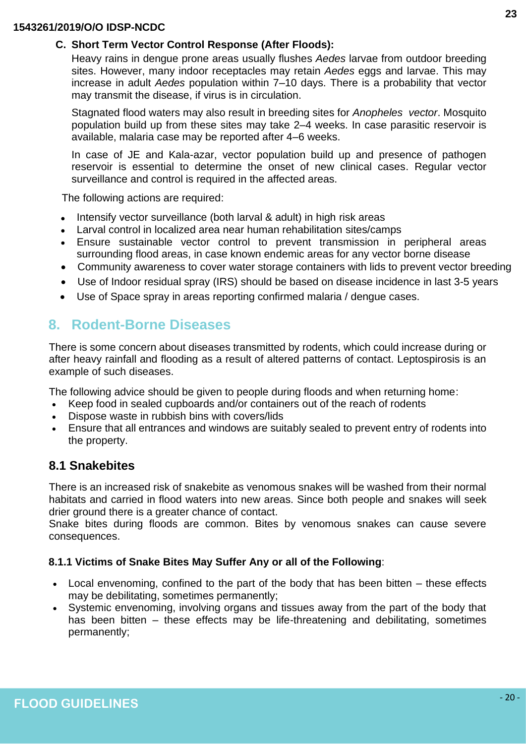#### **C. Short Term Vector Control Response (After Floods):**

Heavy rains in dengue prone areas usually flushes *Aedes* larvae from outdoor breeding sites. However, many indoor receptacles may retain *Aedes* eggs and larvae. This may increase in adult *Aedes* population within 7–10 days. There is a probability that vector may transmit the disease, if virus is in circulation.

Stagnated flood waters may also result in breeding sites for *Anopheles vector*. Mosquito population build up from these sites may take 2–4 weeks. In case parasitic reservoir is available, malaria case may be reported after 4–6 weeks.

In case of JE and Kala-azar, vector population build up and presence of pathogen reservoir is essential to determine the onset of new clinical cases. Regular vector surveillance and control is required in the affected areas.

The following actions are required:

- Intensify vector surveillance (both larval & adult) in high risk areas
- Larval control in localized area near human rehabilitation sites/camps
- Ensure sustainable vector control to prevent transmission in peripheral areas surrounding flood areas, in case known endemic areas for any vector borne disease
- Community awareness to cover water storage containers with lids to prevent vector breeding
- Use of Indoor residual spray (IRS) should be based on disease incidence in last 3-5 years
- Use of Space spray in areas reporting confirmed malaria / dengue cases.

### **8. Rodent-Borne Diseases**

There is some concern about diseases transmitted by rodents, which could increase during or after heavy rainfall and flooding as a result of altered patterns of contact. Leptospirosis is an example of such diseases.

The following advice should be given to people during floods and when returning home:

- Keep food in sealed cupboards and/or containers out of the reach of rodents
- Dispose waste in rubbish bins with covers/lids
- Ensure that all entrances and windows are suitably sealed to prevent entry of rodents into the property.

### **8.1 Snakebites**

There is an increased risk of snakebite as venomous snakes will be washed from their normal habitats and carried in flood waters into new areas. Since both people and snakes will seek drier ground there is a greater chance of contact.

Snake bites during floods are common. Bites by venomous snakes can cause severe consequences.

#### **8.1.1 Victims of Snake Bites May Suffer Any or all of the Following**:

- Local envenoming, confined to the part of the body that has been bitten these effects may be debilitating, sometimes permanently;
- Systemic envenoming, involving organs and tissues away from the part of the body that has been bitten – these effects may be life-threatening and debilitating, sometimes permanently;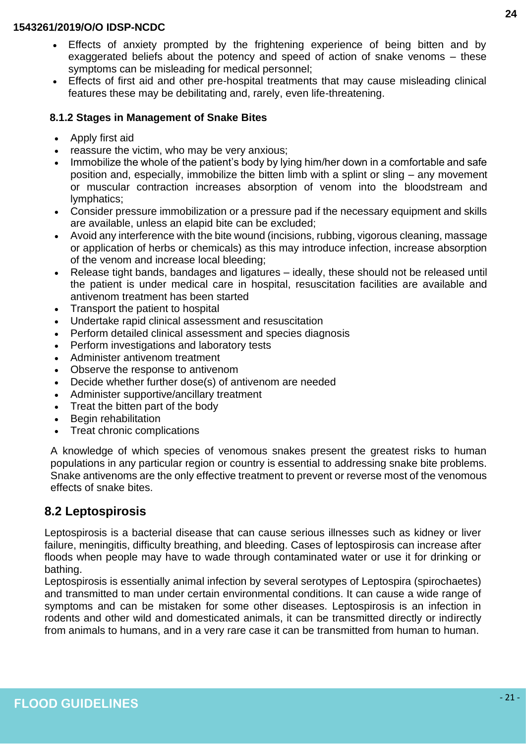- Effects of anxiety prompted by the frightening experience of being bitten and by exaggerated beliefs about the potency and speed of action of snake venoms – these symptoms can be misleading for medical personnel;
- Effects of first aid and other pre-hospital treatments that may cause misleading clinical features these may be debilitating and, rarely, even life-threatening.

#### **8.1.2 Stages in Management of Snake Bites**

- Apply first aid
- reassure the victim, who may be very anxious;
- Immobilize the whole of the patient's body by lying him/her down in a comfortable and safe position and, especially, immobilize the bitten limb with a splint or sling – any movement or muscular contraction increases absorption of venom into the bloodstream and lymphatics;
- Consider pressure immobilization or a pressure pad if the necessary equipment and skills are available, unless an elapid bite can be excluded;
- Avoid any interference with the bite wound (incisions, rubbing, vigorous cleaning, massage or application of herbs or chemicals) as this may introduce infection, increase absorption of the venom and increase local bleeding;
- Release tight bands, bandages and ligatures ideally, these should not be released until the patient is under medical care in hospital, resuscitation facilities are available and antivenom treatment has been started
- Transport the patient to hospital
- Undertake rapid clinical assessment and resuscitation
- Perform detailed clinical assessment and species diagnosis
- Perform investigations and laboratory tests
- Administer antivenom treatment
- Observe the response to antivenom
- Decide whether further dose(s) of antivenom are needed
- Administer supportive/ancillary treatment
- Treat the bitten part of the body
- **Begin rehabilitation**
- Treat chronic complications

A knowledge of which species of venomous snakes present the greatest risks to human populations in any particular region or country is essential to addressing snake bite problems. Snake antivenoms are the only effective treatment to prevent or reverse most of the venomous effects of snake bites.

### **8.2 Leptospirosis**

Leptospirosis is a bacterial disease that can cause serious illnesses such as kidney or liver failure, meningitis, difficulty breathing, and bleeding. Cases of leptospirosis can increase after floods when people may have to wade through contaminated water or use it for drinking or bathing.

Leptospirosis is essentially animal infection by several serotypes of Leptospira (spirochaetes) and transmitted to man under certain environmental conditions. It can cause a wide range of symptoms and can be mistaken for some other diseases. Leptospirosis is an infection in rodents and other wild and domesticated animals, it can be transmitted directly or indirectly from animals to humans, and in a very rare case it can be transmitted from human to human.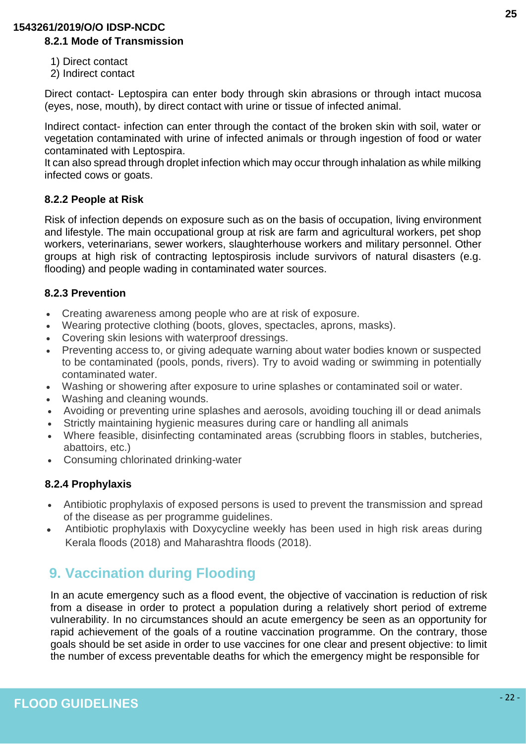- 1) Direct contact
- 2) Indirect contact

Direct contact- Leptospira can enter body through skin abrasions or through intact mucosa (eyes, nose, mouth), by direct contact with urine or tissue of infected animal.

Indirect contact- infection can enter through the contact of the broken skin with soil, water or vegetation contaminated with urine of infected animals or through ingestion of food or water contaminated with Leptospira.

It can also spread through droplet infection which may occur through inhalation as while milking infected cows or goats.

#### **8.2.2 People at Risk**

Risk of infection depends on exposure such as on the basis of occupation, living environment and lifestyle. The main occupational group at risk are farm and agricultural workers, pet shop workers, veterinarians, sewer workers, slaughterhouse workers and military personnel. Other groups at high risk of contracting leptospirosis include survivors of natural disasters (e.g. flooding) and people wading in contaminated water sources.

#### **8.2.3 Prevention**

- Creating awareness among people who are at risk of exposure.
- Wearing protective clothing (boots, gloves, spectacles, aprons, masks).
- Covering skin lesions with waterproof dressings.
- Preventing access to, or giving adequate warning about water bodies known or suspected to be contaminated (pools, ponds, rivers). Try to avoid wading or swimming in potentially contaminated water.
- Washing or showering after exposure to urine splashes or contaminated soil or water.
- Washing and cleaning wounds.
- Avoiding or preventing urine splashes and aerosols, avoiding touching ill or dead animals
- Strictly maintaining hygienic measures during care or handling all animals
- Where feasible, disinfecting contaminated areas (scrubbing floors in stables, butcheries, abattoirs, etc.)
- Consuming chlorinated drinking-water

#### **8.2.4 Prophylaxis**

- Antibiotic prophylaxis of exposed persons is used to prevent the transmission and spread of the disease as per programme guidelines.
- Antibiotic prophylaxis with Doxycycline weekly has been used in high risk areas during Kerala floods (2018) and Maharashtra floods (2018).

# **9. Vaccination during Flooding**

In an acute emergency such as a flood event, the objective of vaccination is reduction of risk from a disease in order to protect a population during a relatively short period of extreme vulnerability. In no circumstances should an acute emergency be seen as an opportunity for rapid achievement of the goals of a routine vaccination programme. On the contrary, those goals should be set aside in order to use vaccines for one clear and present objective: to limit the number of excess preventable deaths for which the emergency might be responsible for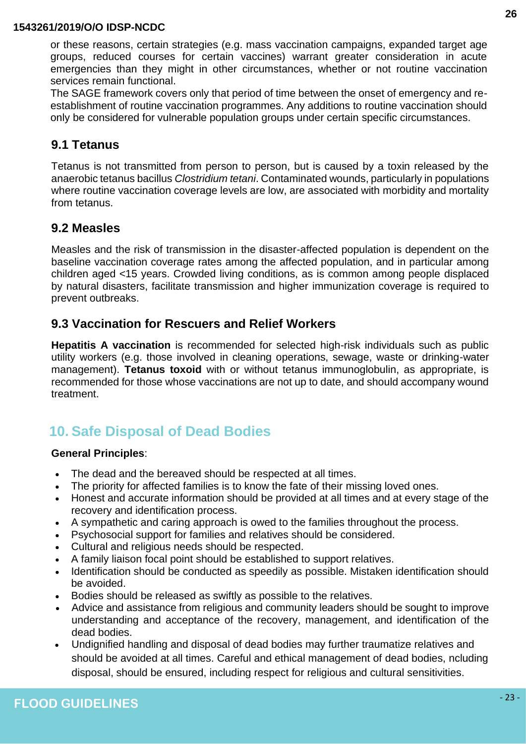or these reasons, certain strategies (e.g. mass vaccination campaigns, expanded target age groups, reduced courses for certain vaccines) warrant greater consideration in acute emergencies than they might in other circumstances, whether or not routine vaccination services remain functional.

The SAGE framework covers only that period of time between the onset of emergency and reestablishment of routine vaccination programmes. Any additions to routine vaccination should only be considered for vulnerable population groups under certain specific circumstances.

### **9.1 Tetanus**

Tetanus is not transmitted from person to person, but is caused by a toxin released by the anaerobic tetanus bacillus *Clostridium tetani*. Contaminated wounds, particularly in populations where routine vaccination coverage levels are low, are associated with morbidity and mortality from tetanus.

### **9.2 Measles**

Measles and the risk of transmission in the disaster-affected population is dependent on the baseline vaccination coverage rates among the affected population, and in particular among children aged <15 years. Crowded living conditions, as is common among people displaced by natural disasters, facilitate transmission and higher immunization coverage is required to prevent outbreaks.

### **9.3 Vaccination for Rescuers and Relief Workers**

**Hepatitis A vaccination** is recommended for selected high-risk individuals such as public utility workers (e.g. those involved in cleaning operations, sewage, waste or drinking-water management). **Tetanus toxoid** with or without tetanus immunoglobulin, as appropriate, is recommended for those whose vaccinations are not up to date, and should accompany wound treatment.

# **10. Safe Disposal of Dead Bodies**

#### **General Principles**:

- The dead and the bereaved should be respected at all times.
- The priority for affected families is to know the fate of their missing loved ones.
- Honest and accurate information should be provided at all times and at every stage of the recovery and identification process.
- A sympathetic and caring approach is owed to the families throughout the process.
- Psychosocial support for families and relatives should be considered.
- Cultural and religious needs should be respected.
- A family liaison focal point should be established to support relatives.
- Identification should be conducted as speedily as possible. Mistaken identification should be avoided.
- Bodies should be released as swiftly as possible to the relatives.
- Advice and assistance from religious and community leaders should be sought to improve understanding and acceptance of the recovery, management, and identification of the dead bodies.
- Undignified handling and disposal of dead bodies may further traumatize relatives and should be avoided at all times. Careful and ethical management of dead bodies, ncluding disposal, should be ensured, including respect for religious and cultural sensitivities.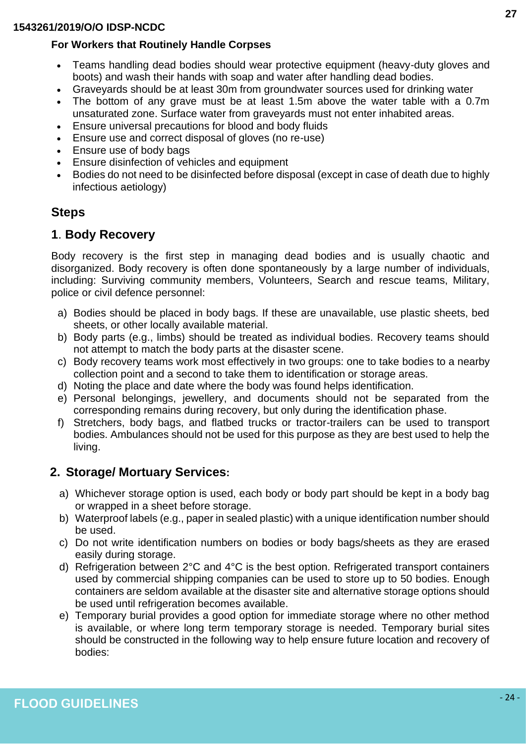#### **For Workers that Routinely Handle Corpses**

- Teams handling dead bodies should wear protective equipment (heavy-duty gloves and boots) and wash their hands with soap and water after handling dead bodies.
- Graveyards should be at least 30m from groundwater sources used for drinking water
- The bottom of any grave must be at least 1.5m above the water table with a 0.7m unsaturated zone. Surface water from graveyards must not enter inhabited areas.
- Ensure universal precautions for blood and body fluids
- Ensure use and correct disposal of gloves (no re-use)
- Ensure use of body bags
- Ensure disinfection of vehicles and equipment
- Bodies do not need to be disinfected before disposal (except in case of death due to highly infectious aetiology)

### **Steps**

### **1**. **Body Recovery**

Body recovery is the first step in managing dead bodies and is usually chaotic and disorganized. Body recovery is often done spontaneously by a large number of individuals, including: Surviving community members, Volunteers, Search and rescue teams, Military, police or civil defence personnel:

- a) Bodies should be placed in body bags. If these are unavailable, use plastic sheets, bed sheets, or other locally available material.
- b) Body parts (e.g., limbs) should be treated as individual bodies. Recovery teams should not attempt to match the body parts at the disaster scene.
- c) Body recovery teams work most effectively in two groups: one to take bodies to a nearby collection point and a second to take them to identification or storage areas.
- d) Noting the place and date where the body was found helps identification.
- e) Personal belongings, jewellery, and documents should not be separated from the corresponding remains during recovery, but only during the identification phase.
- f) Stretchers, body bags, and flatbed trucks or tractor-trailers can be used to transport bodies. Ambulances should not be used for this purpose as they are best used to help the living.

### **2. Storage/ Mortuary Services:**

- a) Whichever storage option is used, each body or body part should be kept in a body bag or wrapped in a sheet before storage.
- b) Waterproof labels (e.g., paper in sealed plastic) with a unique identification number should be used.
- c) Do not write identification numbers on bodies or body bags/sheets as they are erased easily during storage.
- d) Refrigeration between 2°C and 4°C is the best option. Refrigerated transport containers used by commercial shipping companies can be used to store up to 50 bodies. Enough containers are seldom available at the disaster site and alternative storage options should be used until refrigeration becomes available.
- e) Temporary burial provides a good option for immediate storage where no other method is available, or where long term temporary storage is needed. Temporary burial sites should be constructed in the following way to help ensure future location and recovery of bodies: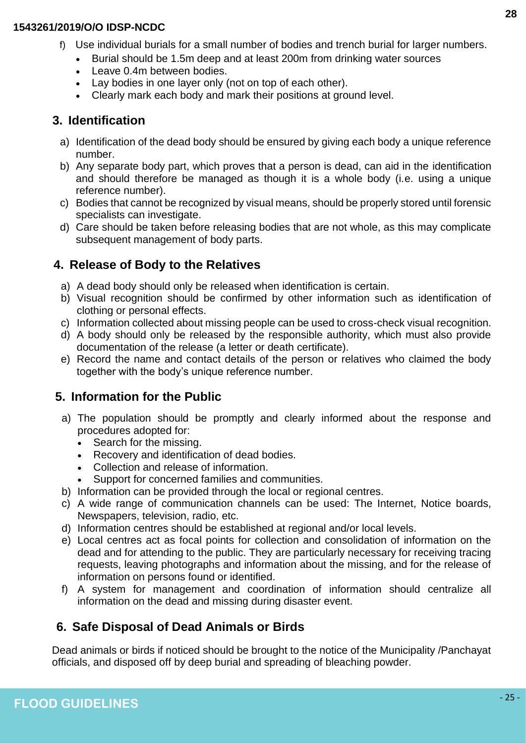- f) Use individual burials for a small number of bodies and trench burial for larger numbers.
	- Burial should be 1.5m deep and at least 200m from drinking water sources
	- Leave 0.4m between bodies.
	- Lay bodies in one layer only (not on top of each other).
	- Clearly mark each body and mark their positions at ground level.

### **3. Identification**

- a) Identification of the dead body should be ensured by giving each body a unique reference number.
- b) Any separate body part, which proves that a person is dead, can aid in the identification and should therefore be managed as though it is a whole body (i.e. using a unique reference number).
- c) Bodies that cannot be recognized by visual means, should be properly stored until forensic specialists can investigate.
- d) Care should be taken before releasing bodies that are not whole, as this may complicate subsequent management of body parts.

### **4. Release of Body to the Relatives**

- a) A dead body should only be released when identification is certain.
- b) Visual recognition should be confirmed by other information such as identification of clothing or personal effects.
- c) Information collected about missing people can be used to cross-check visual recognition.
- d) A body should only be released by the responsible authority, which must also provide documentation of the release (a letter or death certificate).
- e) Record the name and contact details of the person or relatives who claimed the body together with the body's unique reference number.

### **5. Information for the Public**

- a) The population should be promptly and clearly informed about the response and procedures adopted for:
	- Search for the missing.
	- Recovery and identification of dead bodies.
	- Collection and release of information.
	- Support for concerned families and communities.
- b) Information can be provided through the local or regional centres.
- c) A wide range of communication channels can be used: The Internet, Notice boards, Newspapers, television, radio, etc.
- d) Information centres should be established at regional and/or local levels.
- e) Local centres act as focal points for collection and consolidation of information on the dead and for attending to the public. They are particularly necessary for receiving tracing requests, leaving photographs and information about the missing, and for the release of information on persons found or identified.
- f) A system for management and coordination of information should centralize all information on the dead and missing during disaster event.

### **6. Safe Disposal of Dead Animals or Birds**

Dead animals or birds if noticed should be brought to the notice of the Municipality /Panchayat officials, and disposed off by deep burial and spreading of bleaching powder.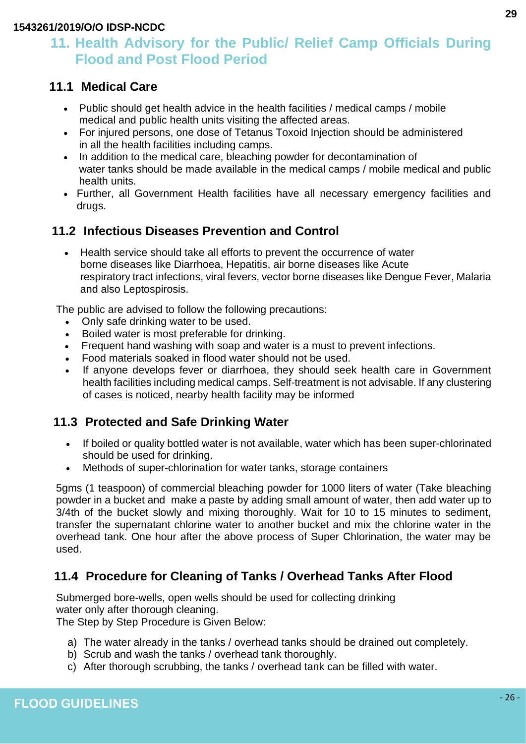# **11. Health Advisory for the Public/ Relief Camp Officials During Flood and Post Flood Period**

### **11.1 Medical Care**

- Public should get health advice in the health facilities / medical camps / mobile medical and public health units visiting the affected areas.
- For injured persons, one dose of Tetanus Toxoid Injection should be administered in all the health facilities including camps.
- In addition to the medical care, bleaching powder for decontamination of water tanks should be made available in the medical camps / mobile medical and public health units.
- Further, all Government Health facilities have all necessary emergency facilities and drugs.

### **11.2 Infectious Diseases Prevention and Control**

• Health service should take all efforts to prevent the occurrence of water borne diseases like Diarrhoea, Hepatitis, air borne diseases like Acute respiratory tract infections, viral fevers, vector borne diseases like Dengue Fever, Malaria and also Leptospirosis.

The public are advised to follow the following precautions:

- Only safe drinking water to be used.
- Boiled water is most preferable for drinking.
- Frequent hand washing with soap and water is a must to prevent infections.
- Food materials soaked in flood water should not be used.
- If anyone develops fever or diarrhoea, they should seek health care in Government health facilities including medical camps. Self-treatment is not advisable. If any clustering of cases is noticed, nearby health facility may be informed

### **11.3 Protected and Safe Drinking Water**

- If boiled or quality bottled water is not available, water which has been super-chlorinated should be used for drinking.
- Methods of super-chlorination for water tanks, storage containers

5gms (1 teaspoon) of commercial bleaching powder for 1000 liters of water (Take bleaching powder in a bucket and make a paste by adding small amount of water, then add water up to 3/4th of the bucket slowly and mixing thoroughly. Wait for 10 to 15 minutes to sediment, transfer the supernatant chlorine water to another bucket and mix the chlorine water in the overhead tank. One hour after the above process of Super Chlorination, the water may be used.

### **11.4 Procedure for Cleaning of Tanks / Overhead Tanks After Flood**

Submerged bore-wells, open wells should be used for collecting drinking water only after thorough cleaning. The Step by Step Procedure is Given Below:

a) The water already in the tanks / overhead tanks should be drained out completely.

- b) Scrub and wash the tanks / overhead tank thoroughly.
- c) After thorough scrubbing, the tanks / overhead tank can be filled with water.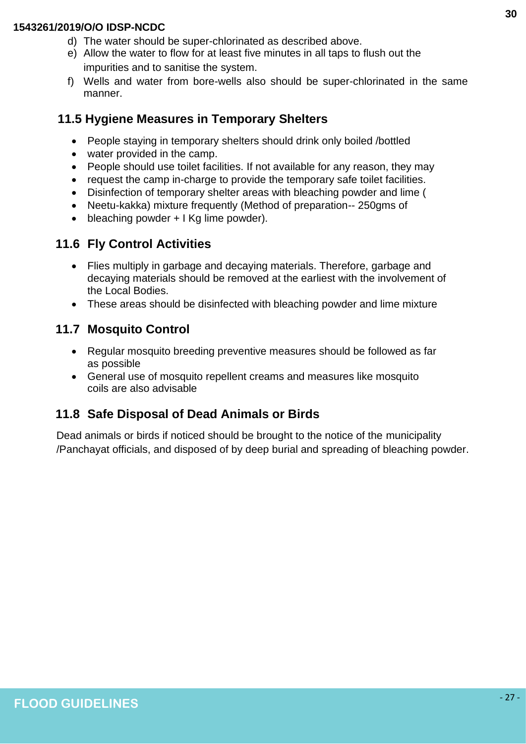- d) The water should be super-chlorinated as described above.
- e) Allow the water to flow for at least five minutes in all taps to flush out the impurities and to sanitise the system.
- f) Wells and water from bore-wells also should be super-chlorinated in the same manner.

### **11.5 Hygiene Measures in Temporary Shelters**

- People staying in temporary shelters should drink only boiled /bottled
- water provided in the camp.
- People should use toilet facilities. If not available for any reason, they may
- request the camp in-charge to provide the temporary safe toilet facilities.
- Disinfection of temporary shelter areas with bleaching powder and lime (
- Neetu-kakka) mixture frequently (Method of preparation-- 250gms of
- bleaching powder + I Kg lime powder).

### **11.6 Fly Control Activities**

- Flies multiply in garbage and decaying materials. Therefore, garbage and decaying materials should be removed at the earliest with the involvement of the Local Bodies.
- These areas should be disinfected with bleaching powder and lime mixture

### **11.7 Mosquito Control**

- Regular mosquito breeding preventive measures should be followed as far as possible
- General use of mosquito repellent creams and measures like mosquito coils are also advisable

### **11.8 Safe Disposal of Dead Animals or Birds**

Dead animals or birds if noticed should be brought to the notice of the municipality /Panchayat officials, and disposed of by deep burial and spreading of bleaching powder.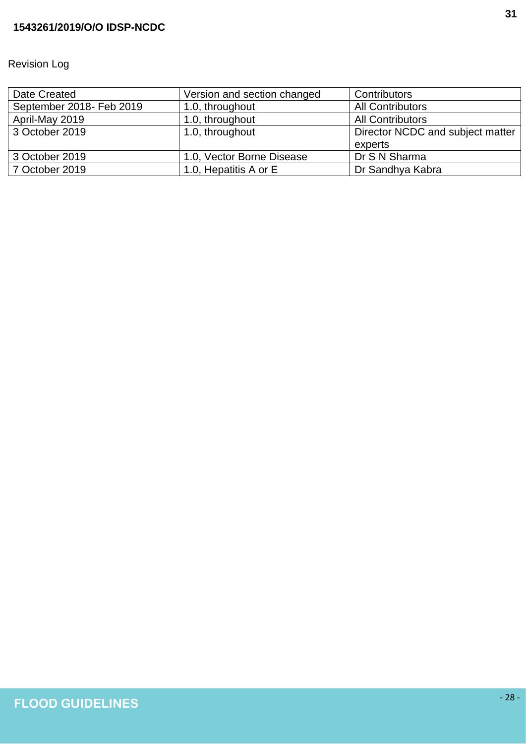Revision Log

| Date Created             | Version and section changed | Contributors                     |
|--------------------------|-----------------------------|----------------------------------|
| September 2018- Feb 2019 | 1.0, throughout             | <b>All Contributors</b>          |
| April-May 2019           | 1.0, throughout             | <b>All Contributors</b>          |
| 3 October 2019           | 1.0, throughout             | Director NCDC and subject matter |
|                          |                             | experts                          |
| 3 October 2019           | 1.0, Vector Borne Disease   | Dr S N Sharma                    |
| 7 October 2019           | 1.0, Hepatitis A or E       | Dr Sandhya Kabra                 |